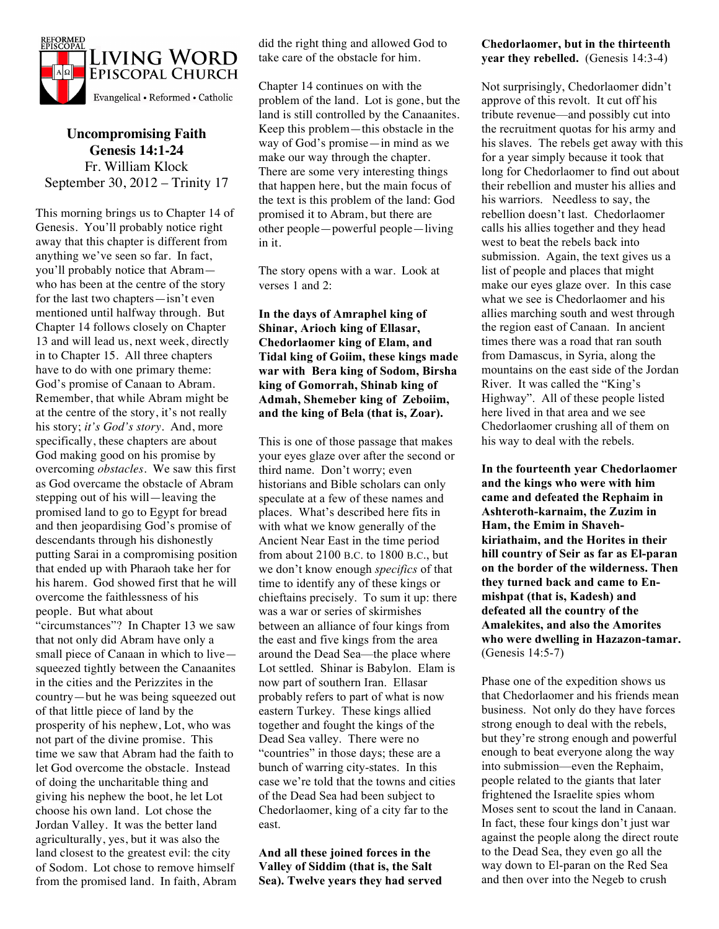

**Uncompromising Faith Genesis 14:1-24** Fr. William Klock September 30, 2012 – Trinity 17

This morning brings us to Chapter 14 of Genesis. You'll probably notice right away that this chapter is different from anything we've seen so far. In fact, you'll probably notice that Abram who has been at the centre of the story for the last two chapters—isn't even mentioned until halfway through. But Chapter 14 follows closely on Chapter 13 and will lead us, next week, directly in to Chapter 15. All three chapters have to do with one primary theme: God's promise of Canaan to Abram. Remember, that while Abram might be at the centre of the story, it's not really his story; *it's God's story*. And, more specifically, these chapters are about God making good on his promise by overcoming *obstacles.* We saw this first as God overcame the obstacle of Abram stepping out of his will—leaving the promised land to go to Egypt for bread and then jeopardising God's promise of descendants through his dishonestly putting Sarai in a compromising position that ended up with Pharaoh take her for his harem. God showed first that he will overcome the faithlessness of his people. But what about "circumstances"? In Chapter 13 we saw that not only did Abram have only a small piece of Canaan in which to live squeezed tightly between the Canaanites in the cities and the Perizzites in the country—but he was being squeezed out of that little piece of land by the prosperity of his nephew, Lot, who was not part of the divine promise. This time we saw that Abram had the faith to let God overcome the obstacle. Instead of doing the uncharitable thing and giving his nephew the boot, he let Lot choose his own land. Lot chose the Jordan Valley. It was the better land agriculturally, yes, but it was also the land closest to the greatest evil: the city of Sodom. Lot chose to remove himself from the promised land. In faith, Abram did the right thing and allowed God to take care of the obstacle for him.

Chapter 14 continues on with the problem of the land. Lot is gone, but the land is still controlled by the Canaanites. Keep this problem—this obstacle in the way of God's promise—in mind as we make our way through the chapter. There are some very interesting things that happen here, but the main focus of the text is this problem of the land: God promised it to Abram, but there are other people—powerful people—living in it.

The story opens with a war. Look at verses 1 and 2:

## **In the days of Amraphel king of Shinar, Arioch king of Ellasar, Chedorlaomer king of Elam, and Tidal king of Goiim, these kings made war with Bera king of Sodom, Birsha king of Gomorrah, Shinab king of Admah, Shemeber king of Zeboiim, and the king of Bela (that is, Zoar).**

This is one of those passage that makes your eyes glaze over after the second or third name. Don't worry; even historians and Bible scholars can only speculate at a few of these names and places. What's described here fits in with what we know generally of the Ancient Near East in the time period from about 2100 B.C. to 1800 B.C., but we don't know enough *specifics* of that time to identify any of these kings or chieftains precisely. To sum it up: there was a war or series of skirmishes between an alliance of four kings from the east and five kings from the area around the Dead Sea—the place where Lot settled. Shinar is Babylon. Elam is now part of southern Iran. Ellasar probably refers to part of what is now eastern Turkey. These kings allied together and fought the kings of the Dead Sea valley. There were no "countries" in those days; these are a bunch of warring city-states. In this case we're told that the towns and cities of the Dead Sea had been subject to Chedorlaomer, king of a city far to the east.

**And all these joined forces in the Valley of Siddim (that is, the Salt Sea). Twelve years they had served** 

## **Chedorlaomer, but in the thirteenth year they rebelled.** (Genesis 14:3-4)

Not surprisingly, Chedorlaomer didn't approve of this revolt. It cut off his tribute revenue—and possibly cut into the recruitment quotas for his army and his slaves. The rebels get away with this for a year simply because it took that long for Chedorlaomer to find out about their rebellion and muster his allies and his warriors. Needless to say, the rebellion doesn't last. Chedorlaomer calls his allies together and they head west to beat the rebels back into submission. Again, the text gives us a list of people and places that might make our eyes glaze over. In this case what we see is Chedorlaomer and his allies marching south and west through the region east of Canaan. In ancient times there was a road that ran south from Damascus, in Syria, along the mountains on the east side of the Jordan River. It was called the "King's Highway". All of these people listed here lived in that area and we see Chedorlaomer crushing all of them on his way to deal with the rebels.

**In the fourteenth year Chedorlaomer and the kings who were with him came and defeated the Rephaim in Ashteroth-karnaim, the Zuzim in Ham, the Emim in Shavehkiriathaim, and the Horites in their hill country of Seir as far as El-paran on the border of the wilderness. Then they turned back and came to Enmishpat (that is, Kadesh) and defeated all the country of the Amalekites, and also the Amorites who were dwelling in Hazazon-tamar.**  (Genesis 14:5-7)

Phase one of the expedition shows us that Chedorlaomer and his friends mean business. Not only do they have forces strong enough to deal with the rebels, but they're strong enough and powerful enough to beat everyone along the way into submission—even the Rephaim, people related to the giants that later frightened the Israelite spies whom Moses sent to scout the land in Canaan. In fact, these four kings don't just war against the people along the direct route to the Dead Sea, they even go all the way down to El-paran on the Red Sea and then over into the Negeb to crush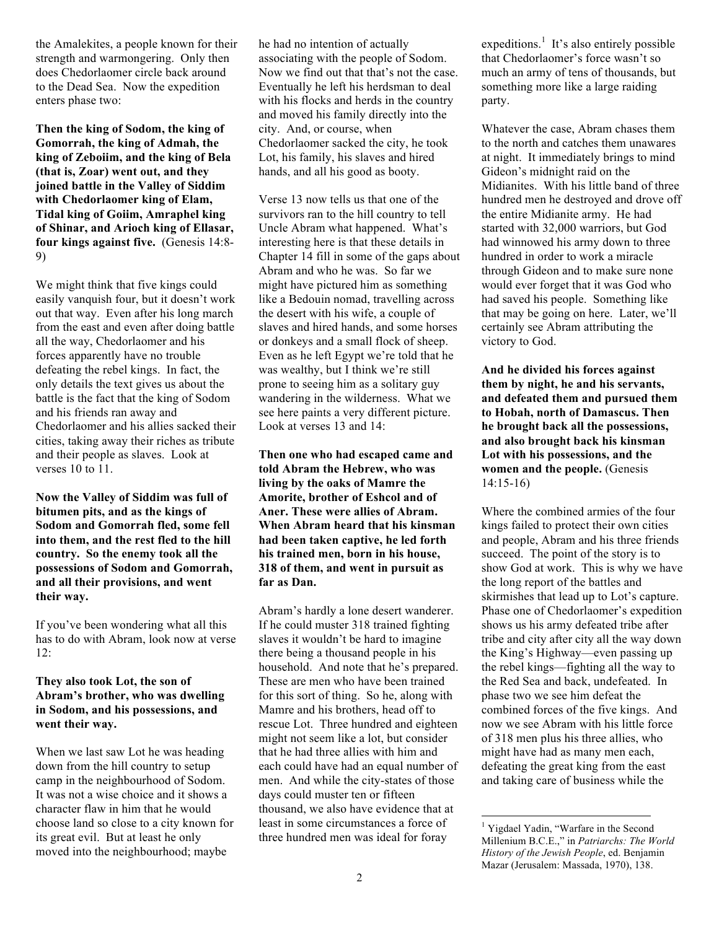the Amalekites, a people known for their strength and warmongering. Only then does Chedorlaomer circle back around to the Dead Sea. Now the expedition enters phase two:

**Then the king of Sodom, the king of Gomorrah, the king of Admah, the king of Zeboiim, and the king of Bela (that is, Zoar) went out, and they joined battle in the Valley of Siddim with Chedorlaomer king of Elam, Tidal king of Goiim, Amraphel king of Shinar, and Arioch king of Ellasar, four kings against five.** (Genesis 14:8- 9)

We might think that five kings could easily vanquish four, but it doesn't work out that way. Even after his long march from the east and even after doing battle all the way, Chedorlaomer and his forces apparently have no trouble defeating the rebel kings. In fact, the only details the text gives us about the battle is the fact that the king of Sodom and his friends ran away and Chedorlaomer and his allies sacked their cities, taking away their riches as tribute and their people as slaves. Look at verses 10 to 11.

**Now the Valley of Siddim was full of bitumen pits, and as the kings of Sodom and Gomorrah fled, some fell into them, and the rest fled to the hill country. So the enemy took all the possessions of Sodom and Gomorrah, and all their provisions, and went their way.**

If you've been wondering what all this has to do with Abram, look now at verse 12:

## **They also took Lot, the son of Abram's brother, who was dwelling in Sodom, and his possessions, and went their way.**

When we last saw Lot he was heading down from the hill country to setup camp in the neighbourhood of Sodom. It was not a wise choice and it shows a character flaw in him that he would choose land so close to a city known for its great evil. But at least he only moved into the neighbourhood; maybe

he had no intention of actually associating with the people of Sodom. Now we find out that that's not the case. Eventually he left his herdsman to deal with his flocks and herds in the country and moved his family directly into the city. And, or course, when Chedorlaomer sacked the city, he took Lot, his family, his slaves and hired hands, and all his good as booty.

Verse 13 now tells us that one of the survivors ran to the hill country to tell Uncle Abram what happened. What's interesting here is that these details in Chapter 14 fill in some of the gaps about Abram and who he was. So far we might have pictured him as something like a Bedouin nomad, travelling across the desert with his wife, a couple of slaves and hired hands, and some horses or donkeys and a small flock of sheep. Even as he left Egypt we're told that he was wealthy, but I think we're still prone to seeing him as a solitary guy wandering in the wilderness. What we see here paints a very different picture. Look at verses 13 and 14:

**Then one who had escaped came and told Abram the Hebrew, who was living by the oaks of Mamre the Amorite, brother of Eshcol and of Aner. These were allies of Abram. When Abram heard that his kinsman had been taken captive, he led forth his trained men, born in his house, 318 of them, and went in pursuit as far as Dan.** 

Abram's hardly a lone desert wanderer. If he could muster 318 trained fighting slaves it wouldn't be hard to imagine there being a thousand people in his household. And note that he's prepared. These are men who have been trained for this sort of thing. So he, along with Mamre and his brothers, head off to rescue Lot. Three hundred and eighteen might not seem like a lot, but consider that he had three allies with him and each could have had an equal number of men. And while the city-states of those days could muster ten or fifteen thousand, we also have evidence that at least in some circumstances a force of three hundred men was ideal for foray

expeditions.<sup>1</sup> It's also entirely possible that Chedorlaomer's force wasn't so much an army of tens of thousands, but something more like a large raiding party.

Whatever the case, Abram chases them to the north and catches them unawares at night. It immediately brings to mind Gideon's midnight raid on the Midianites. With his little band of three hundred men he destroyed and drove off the entire Midianite army. He had started with 32,000 warriors, but God had winnowed his army down to three hundred in order to work a miracle through Gideon and to make sure none would ever forget that it was God who had saved his people. Something like that may be going on here. Later, we'll certainly see Abram attributing the victory to God.

**And he divided his forces against them by night, he and his servants, and defeated them and pursued them to Hobah, north of Damascus. Then he brought back all the possessions, and also brought back his kinsman Lot with his possessions, and the women and the people.** (Genesis 14:15-16)

Where the combined armies of the four kings failed to protect their own cities and people, Abram and his three friends succeed. The point of the story is to show God at work. This is why we have the long report of the battles and skirmishes that lead up to Lot's capture. Phase one of Chedorlaomer's expedition shows us his army defeated tribe after tribe and city after city all the way down the King's Highway—even passing up the rebel kings—fighting all the way to the Red Sea and back, undefeated. In phase two we see him defeat the combined forces of the five kings. And now we see Abram with his little force of 318 men plus his three allies, who might have had as many men each, defeating the great king from the east and taking care of business while the

 $\frac{1}{1}$ <sup>1</sup> Yigdael Yadin, "Warfare in the Second Millenium B.C.E.," in *Patriarchs: The World History of the Jewish People*, ed. Benjamin Mazar (Jerusalem: Massada, 1970), 138.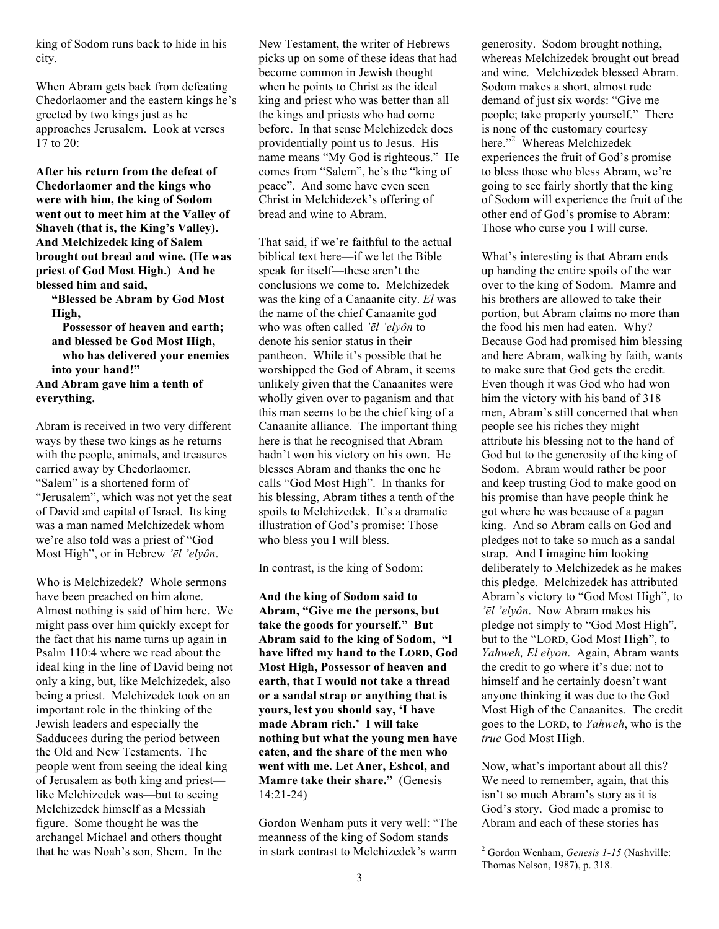king of Sodom runs back to hide in his city.

When Abram gets back from defeating Chedorlaomer and the eastern kings he's greeted by two kings just as he approaches Jerusalem. Look at verses 17 to 20:

**After his return from the defeat of Chedorlaomer and the kings who were with him, the king of Sodom went out to meet him at the Valley of Shaveh (that is, the King's Valley). And Melchizedek king of Salem brought out bread and wine. (He was priest of God Most High.) And he blessed him and said,**

**"Blessed be Abram by God Most High,**

**Possessor of heaven and earth; and blessed be God Most High, who has delivered your enemies into your hand!" And Abram gave him a tenth of everything.**

Abram is received in two very different ways by these two kings as he returns with the people, animals, and treasures carried away by Chedorlaomer. "Salem" is a shortened form of "Jerusalem", which was not yet the seat of David and capital of Israel. Its king was a man named Melchizedek whom we're also told was a priest of "God Most High", or in Hebrew *'ēl 'elyôn*.

Who is Melchizedek? Whole sermons have been preached on him alone. Almost nothing is said of him here. We might pass over him quickly except for the fact that his name turns up again in Psalm 110:4 where we read about the ideal king in the line of David being not only a king, but, like Melchizedek, also being a priest. Melchizedek took on an important role in the thinking of the Jewish leaders and especially the Sadducees during the period between the Old and New Testaments. The people went from seeing the ideal king of Jerusalem as both king and priest like Melchizedek was—but to seeing Melchizedek himself as a Messiah figure. Some thought he was the archangel Michael and others thought that he was Noah's son, Shem. In the

New Testament, the writer of Hebrews picks up on some of these ideas that had become common in Jewish thought when he points to Christ as the ideal king and priest who was better than all the kings and priests who had come before. In that sense Melchizedek does providentially point us to Jesus. His name means "My God is righteous." He comes from "Salem", he's the "king of peace". And some have even seen Christ in Melchidezek's offering of bread and wine to Abram.

That said, if we're faithful to the actual biblical text here—if we let the Bible speak for itself—these aren't the conclusions we come to. Melchizedek was the king of a Canaanite city. *El* was the name of the chief Canaanite god who was often called *'ēl 'elyôn* to denote his senior status in their pantheon. While it's possible that he worshipped the God of Abram, it seems unlikely given that the Canaanites were wholly given over to paganism and that this man seems to be the chief king of a Canaanite alliance. The important thing here is that he recognised that Abram hadn't won his victory on his own. He blesses Abram and thanks the one he calls "God Most High". In thanks for his blessing, Abram tithes a tenth of the spoils to Melchizedek. It's a dramatic illustration of God's promise: Those who bless you I will bless.

In contrast, is the king of Sodom:

**And the king of Sodom said to Abram, "Give me the persons, but take the goods for yourself." But Abram said to the king of Sodom, "I have lifted my hand to the LORD, God Most High, Possessor of heaven and earth, that I would not take a thread or a sandal strap or anything that is yours, lest you should say, 'I have made Abram rich.' I will take nothing but what the young men have eaten, and the share of the men who went with me. Let Aner, Eshcol, and Mamre take their share."** (Genesis 14:21-24)

Gordon Wenham puts it very well: "The meanness of the king of Sodom stands in stark contrast to Melchizedek's warm

generosity. Sodom brought nothing, whereas Melchizedek brought out bread and wine. Melchizedek blessed Abram. Sodom makes a short, almost rude demand of just six words: "Give me people; take property yourself." There is none of the customary courtesy here."<sup>2</sup> Whereas Melchizedek experiences the fruit of God's promise to bless those who bless Abram, we're going to see fairly shortly that the king of Sodom will experience the fruit of the other end of God's promise to Abram: Those who curse you I will curse.

What's interesting is that Abram ends up handing the entire spoils of the war over to the king of Sodom. Mamre and his brothers are allowed to take their portion, but Abram claims no more than the food his men had eaten. Why? Because God had promised him blessing and here Abram, walking by faith, wants to make sure that God gets the credit. Even though it was God who had won him the victory with his band of 318 men, Abram's still concerned that when people see his riches they might attribute his blessing not to the hand of God but to the generosity of the king of Sodom. Abram would rather be poor and keep trusting God to make good on his promise than have people think he got where he was because of a pagan king. And so Abram calls on God and pledges not to take so much as a sandal strap. And I imagine him looking deliberately to Melchizedek as he makes this pledge. Melchizedek has attributed Abram's victory to "God Most High", to *'ēl 'elyôn*. Now Abram makes his pledge not simply to "God Most High", but to the "LORD, God Most High", to *Yahweh, El elyon*. Again, Abram wants the credit to go where it's due: not to himself and he certainly doesn't want anyone thinking it was due to the God Most High of the Canaanites. The credit goes to the LORD, to *Yahweh*, who is the *true* God Most High.

Now, what's important about all this? We need to remember, again, that this isn't so much Abram's story as it is God's story. God made a promise to Abram and each of these stories has

 $\frac{1}{2}$ <sup>2</sup> Gordon Wenham, *Genesis 1-15* (Nashville: Thomas Nelson, 1987), p. 318.